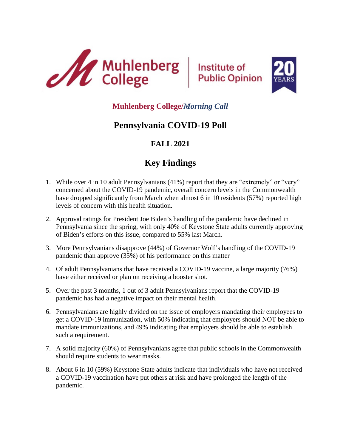



## **Muhlenberg College/***Morning Call*

# **Pennsylvania COVID-19 Poll**

# **FALL 2021**

# **Key Findings**

- 1. While over 4 in 10 adult Pennsylvanians (41%) report that they are "extremely" or "very" concerned about the COVID-19 pandemic, overall concern levels in the Commonwealth have dropped significantly from March when almost 6 in 10 residents (57%) reported high levels of concern with this health situation.
- 2. Approval ratings for President Joe Biden's handling of the pandemic have declined in Pennsylvania since the spring, with only 40% of Keystone State adults currently approving of Biden's efforts on this issue, compared to 55% last March.
- 3. More Pennsylvanians disapprove (44%) of Governor Wolf's handling of the COVID-19 pandemic than approve (35%) of his performance on this matter
- 4. Of adult Pennsylvanians that have received a COVID-19 vaccine, a large majority (76%) have either received or plan on receiving a booster shot.
- 5. Over the past 3 months, 1 out of 3 adult Pennsylvanians report that the COVID-19 pandemic has had a negative impact on their mental health.
- 6. Pennsylvanians are highly divided on the issue of employers mandating their employees to get a COVID-19 immunization, with 50% indicating that employers should NOT be able to mandate immunizations, and 49% indicating that employers should be able to establish such a requirement.
- 7. A solid majority (60%) of Pennsylvanians agree that public schools in the Commonwealth should require students to wear masks.
- 8. About 6 in 10 (59%) Keystone State adults indicate that individuals who have not received a COVID-19 vaccination have put others at risk and have prolonged the length of the pandemic.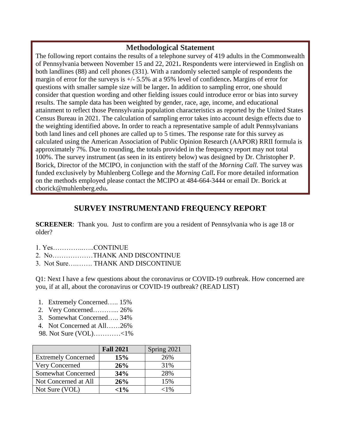## **Methodological Statement**

The following report contains the results of a telephone survey of 419 adults in the Commonwealth of Pennsylvania between November 15 and 22, 2021**.** Respondents were interviewed in English on both landlines (88) and cell phones (331). With a randomly selected sample of respondents the margin of error for the surveys is +/- 5.5% at a 95% level of confidence**.** Margins of error for questions with smaller sample size will be larger**.** In addition to sampling error, one should consider that question wording and other fielding issues could introduce error or bias into survey results. The sample data has been weighted by gender, race, age, income, and educational attainment to reflect those Pennsylvania population characteristics as reported by the United States Census Bureau in 2021. The calculation of sampling error takes into account design effects due to the weighting identified above**.** In order to reach a representative sample of adult Pennsylvanians both land lines and cell phones are called up to 5 times. The response rate for this survey as calculated using the American Association of Public Opinion Research (AAPOR) RRII formula is approximately 7%. Due to rounding, the totals provided in the frequency report may not total 100%. The survey instrument (as seen in its entirety below) was designed by Dr. Christopher P. Borick, Director of the MCIPO, in conjunction with the staff of the *Morning Call*. The survey was funded exclusively by Muhlenberg College and the *Morning Call***.** For more detailed information on the methods employed please contact the MCIPO at 484-664-3444 or email Dr. Borick at cborick@muhlenberg.edu**.**

## **SURVEY INSTRUMENTAND FREQUENCY REPORT**

**SCREENER**: Thank you. Just to confirm are you a resident of Pennsylvania who is age 18 or older?

- 1. Yes…………..…..CONTINUE
- 2. No………………THANK AND DISCONTINUE
- 3. Not Sure….……. THANK AND DISCONTINUE

Q1: Next I have a few questions about the coronavirus or COVID-19 outbreak. How concerned are you, if at all, about the coronavirus or COVID-19 outbreak? (READ LIST)

- 1. Extremely Concerned….. 15%
- 2. Very Concerned………... 26%
- 3. Somewhat Concerned….. 34%
- 4. Not Concerned at All……26%
- 98. Not Sure (VOL)…………<1%

|                            | <b>Fall 2021</b> | Spring 2021 |
|----------------------------|------------------|-------------|
| <b>Extremely Concerned</b> | 15%              | 26%         |
| Very Concerned             | 26%              | 31%         |
| <b>Somewhat Concerned</b>  | 34%              | 28%         |
| Not Concerned at All       | 26%              | 15%         |
| Not Sure (VOL)             | $<\!\!1\!\,$ %   | ${<}1\%$    |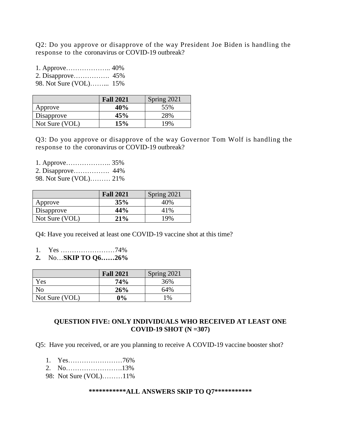Q2: Do you approve or disapprove of the way President Joe Biden is handling the response to the coronavirus or COVID-19 outbreak?

1. Approve……………….. 40% 2. Disapprove……………. 45% 98. Not Sure (VOL)……... 15%

|                | <b>Fall 2021</b> | Spring 2021 |
|----------------|------------------|-------------|
| Approve        | 40%              | 55%         |
| Disapprove     | 45%              | 28%         |
| Not Sure (VOL) | 15%              | 19%         |

Q3: Do you approve or disapprove of the way Governor Tom Wolf is handling the response to the coronavirus or COVID-19 outbreak?

1. Approve……………….. 35% 2. Disapprove……………. 44% 98. Not Sure (VOL)……… 21%

|                | <b>Fall 2021</b> | Spring 2021 |
|----------------|------------------|-------------|
| Approve        | 35%              | 40%         |
| Disapprove     | 44%              | 41%         |
| Not Sure (VOL) | 21%              | 19%         |

Q4: Have you received at least one COVID-19 vaccine shot at this time?

- 1. Yes ……………………74%
- **2.** No…**SKIP TO Q6……26%**

|                | <b>Fall 2021</b> | Spring 2021 |
|----------------|------------------|-------------|
| Yes            | 74%              | 36%         |
| N <sub>o</sub> | 26%              | 64%         |
| Not Sure (VOL) | 0%               | 1%          |

#### **QUESTION FIVE: ONLY INDIVIDUALS WHO RECEIVED AT LEAST ONE COVID-19 SHOT (N =307)**

Q5: Have you received, or are you planning to receive A COVID-19 vaccine booster shot?

- 1. Yes……………………76%
- 2. No…………………….13%
- 98: Not Sure (VOL)………11%

#### **\*\*\*\*\*\*\*\*\*\*\*ALL ANSWERS SKIP TO Q7\*\*\*\*\*\*\*\*\*\*\***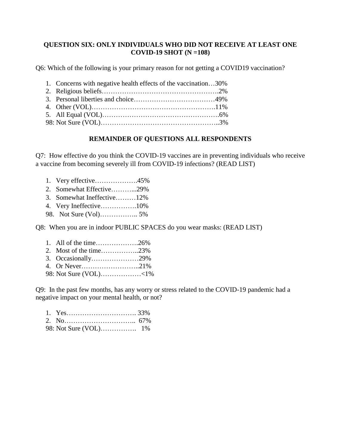#### **QUESTION SIX: ONLY INDIVIDUALS WHO DID NOT RECEIVE AT LEAST ONE COVID-19 SHOT (N =108)**

Q6: Which of the following is your primary reason for not getting a COVID19 vaccination?

- 1. Concerns with negative health effects of the vaccination…30%
- 2. Religious beliefs…………………………………………….2% 3. Personal liberties and choice………………………………49%
- 4. Other (VOL)……………………………………………….11%
- 5. All Equal (VOL)…………………………………………….6% 98: Not Sure (VOL)……………………………………………..3%

#### **REMAINDER OF QUESTIONS ALL RESPONDENTS**

Q7: How effective do you think the COVID-19 vaccines are in preventing individuals who receive a vaccine from becoming severely ill from COVID-19 infections? (READ LIST)

1. Very effective……………….45% 2. Somewhat Effective………...29% 3. Somewhat Ineffective………12% 4. Very Ineffective…………….10% 98. Not Sure (Vol)…………….. 5%

Q8: When you are in indoor PUBLIC SPACES do you wear masks: (READ LIST)

|  |  | 1. All of the time26% |  |
|--|--|-----------------------|--|
|--|--|-----------------------|--|

- 2. Most of the time……………..23%
- 3. Occasionally…………………29%
- 4. Or Never……………………..21%
- 98: Not Sure (VOL)………………<1%

Q9: In the past few months, has any worry or stress related to the COVID-19 pandemic had a negative impact on your mental health, or not?

- 2. No………………………….. 67%
- 98: Not Sure (VOL)……………. 1%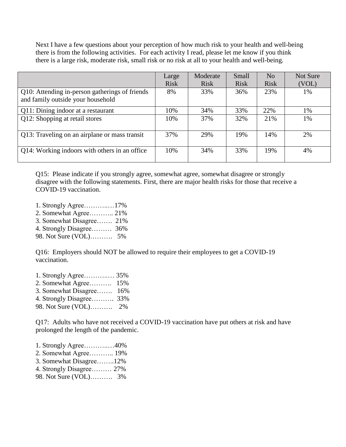Next I have a few questions about your perception of how much risk to your health and well-being there is from the following activities. For each activity I read, please let me know if you think there is a large risk, moderate risk, small risk or no risk at all to your health and well-being.

|                                                                                     | Large<br><b>Risk</b> | Moderate<br><b>Risk</b> | Small<br><b>Risk</b> | N <sub>0</sub><br><b>Risk</b> | Not Sure<br>(VOL) |
|-------------------------------------------------------------------------------------|----------------------|-------------------------|----------------------|-------------------------------|-------------------|
| Q10: Attending in-person gatherings of friends<br>and family outside your household | 8%                   | 33%                     | 36%                  | 23%                           | 1%                |
| Q11: Dining indoor at a restaurant                                                  | 10%                  | 34%                     | 33%                  | 22%                           | 1%                |
| Q12: Shopping at retail stores                                                      | 10%                  | 37%                     | 32%                  | 21%                           | 1%                |
| Q13: Traveling on an airplane or mass transit                                       | 37%                  | 29%                     | 19%                  | 14%                           | 2%                |
| Q14: Working indoors with others in an office                                       | 10%                  | 34%                     | 33%                  | 19%                           | 4%                |

Q15: Please indicate if you strongly agree, somewhat agree, somewhat disagree or strongly disagree with the following statements. First, there are major health risks for those that receive a COVID-19 vaccination.

- 1. Strongly Agree………..…17%
- 2. Somewhat Agree……….. 21%
- 3. Somewhat Disagree……. 21%
- 4. Strongly Disagree……… 36%
- 98. Not Sure (VOL)………. 5%

Q16: Employers should NOT be allowed to require their employees to get a COVID-19 vaccination.

- 1. Strongly Agree………..… 35%
- 2. Somewhat Agree………. 15%
- 3. Somewhat Disagree……. 16%
- 4. Strongly Disagree………. 33%
- 98. Not Sure (VOL)………. 2%

Q17: Adults who have not received a COVID-19 vaccination have put others at risk and have prolonged the length of the pandemic.

- 1. Strongly Agree………..…40%
- 2. Somewhat Agree……….. 19%
- 3. Somewhat Disagree……..12%
- 4. Strongly Disagree……… 27%
- 98. Not Sure (VOL)………. 3%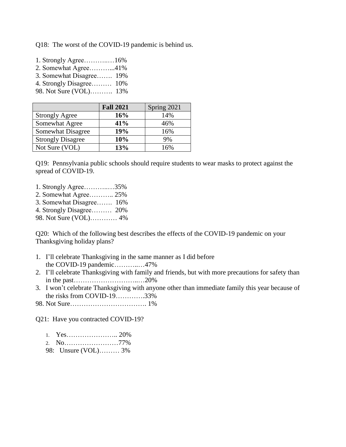Q18: The worst of the COVID-19 pandemic is behind us.

- 1. Strongly Agree………..…16% 2. Somewhat Agree………...41% 3. Somewhat Disagree……. 19%
- 4. Strongly Disagree……… 10%
- 98. Not Sure (VOL)………. 13%

|                          | <b>Fall 2021</b> | Spring 2021 |
|--------------------------|------------------|-------------|
| <b>Strongly Agree</b>    | 16%              | 14%         |
| Somewhat Agree           | 41%              | 46%         |
| Somewhat Disagree        | 19%              | 16%         |
| <b>Strongly Disagree</b> | 10%              | 9%          |
| Not Sure (VOL)           | 13%              | 16%         |

Q19: Pennsylvania public schools should require students to wear masks to protect against the spread of COVID-19.

- 1. Strongly Agree………..…35%
- 2. Somewhat Agree……….. 25%
- 3. Somewhat Disagree……. 16%
- 4. Strongly Disagree……… 20%
- 98. Not Sure (VOL)………… 4%

Q20: Which of the following best describes the effects of the COVID-19 pandemic on your Thanksgiving holiday plans?

- 1. I'll celebrate Thanksgiving in the same manner as I did before the COVID-19 pandemic………..…47%
- 2. I'll celebrate Thanksgiving with family and friends, but with more precautions for safety than in the past………………………..…20%
- 3. I won't celebrate Thanksgiving with anyone other than immediate family this year because of the risks from COVID-19………….33%
- 98. Not Sure……………………………. 1%

Q21: Have you contracted COVID-19?

- 1. Yes………………….. 20%
- 2. No……………………77%
- 98: Unsure (VOL)……… 3%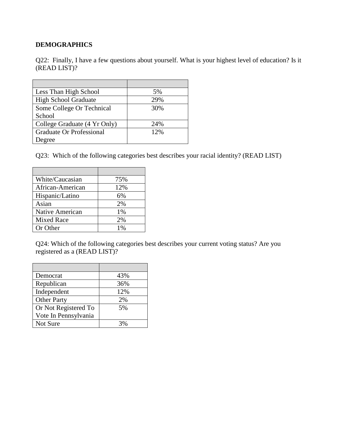## **DEMOGRAPHICS**

Q22: Finally, I have a few questions about yourself. What is your highest level of education? Is it (READ LIST)?

| Less Than High School        | 5%  |
|------------------------------|-----|
| <b>High School Graduate</b>  | 29% |
| Some College Or Technical    | 30% |
| School                       |     |
| College Graduate (4 Yr Only) | 24% |
| Graduate Or Professional     | 12% |
| <b>Degree</b>                |     |

Q23: Which of the following categories best describes your racial identity? (READ LIST)

| White/Caucasian   | 75% |
|-------------------|-----|
| African-American  | 12% |
| Hispanic/Latino   | 6%  |
| Asian             | 2%  |
| Native American   | 1%  |
| <b>Mixed Race</b> | 2%  |
| Or Other          | 1%  |

Q24: Which of the following categories best describes your current voting status? Are you registered as a (READ LIST)?

| Democrat             | 43% |
|----------------------|-----|
| Republican           | 36% |
| Independent          | 12% |
| <b>Other Party</b>   | 2%  |
| Or Not Registered To | 5%  |
| Vote In Pennsylvania |     |
| Not Sure             |     |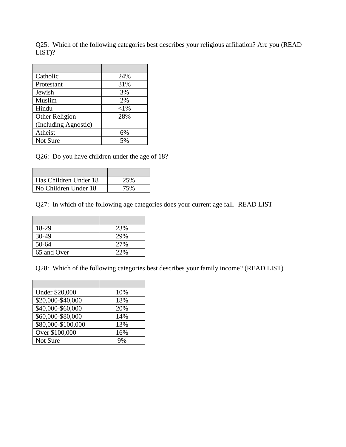Q25: Which of the following categories best describes your religious affiliation? Are you (READ LIST)?

| Catholic             | 24%    |
|----------------------|--------|
| Protestant           | 31%    |
| Jewish               | 3%     |
| Muslim               | 2%     |
| Hindu                | $<$ 1% |
| Other Religion       | 28%    |
| (Including Agnostic) |        |
| Atheist              | 6%     |
| Not Sure             | 5%     |

Q26: Do you have children under the age of 18?

| Has Children Under 18 | 25% |
|-----------------------|-----|
| No Children Under 18  | 75% |

Q27: In which of the following age categories does your current age fall. READ LIST

 $\overline{\phantom{a}}$ 

| 18-29       | 23% |
|-------------|-----|
| $30-49$     | 29% |
| $50 - 64$   | 27% |
| 65 and Over | 22% |

Q28: Which of the following categories best describes your family income? (READ LIST)

| <b>Under \$20,000</b>          | 10% |
|--------------------------------|-----|
| \$20,000-\$40,000              | 18% |
| \$40,000-\$60,000              | 20% |
| $\overline{$60,000$}- $80,000$ | 14% |
| \$80,000-\$100,000             | 13% |
| Over \$100,000                 | 16% |
| Not Sure                       |     |